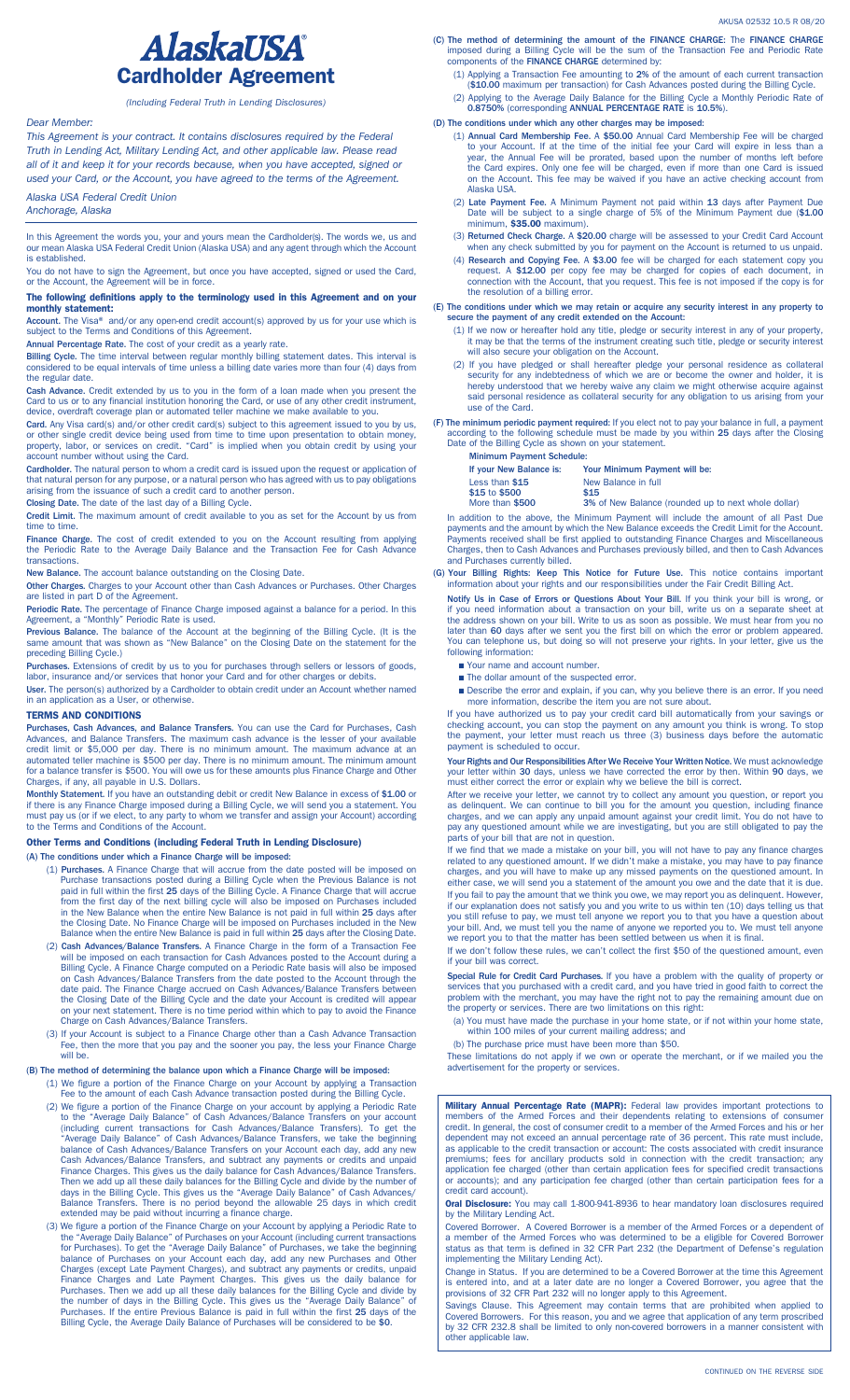

*(Including Federal Truth in Lending Disclosures)*

# *Dear Member:*

*This Agreement is your contract. It contains disclosures required by the Federal Truth in Lending Act, Military Lending Act, and other applicable law. Please read all of it and keep it for your records because, when you have accepted, signed or used your Card, or the Account, you have agreed to the terms of the Agreement.*

*Alaska USA Federal Credit Union*

*Anchorage, Alaska*

In this Agreement the words you, your and yours mean the Cardholder(s). The words we, us and our mean Alaska USA Federal Credit Union (Alaska USA) and any agent through which the Account is established.

You do not have to sign the Agreement, but once you have accepted, signed or used the Card, or the Account, the Agreement will be in force.

#### The following definitions apply to the terminology used in this Agreement and on your monthly statement:

Account. The Visa® and/or any open-end credit account(s) approved by us for your use which is subject to the Terms and Conditions of this Agreement.

Annual Percentage Rate. The cost of your credit as a yearly rate.

Billing Cycle. The time interval between regular monthly billing statement dates. This interval is considered to be equal intervals of time unless a billing date varies more than four (4) days from the regular date.

Cash Advance. Credit extended by us to you in the form of a loan made when you present the<br>Card to us or to any financial institution honoring the Card, or use of any other credit instrument,<br>device, overdraft coverage pla

Card. Any Visa card(s) and/or other credit card(s) subject to this agreement issued to you by us,<br>or other single credit device being used from time to time upon presentation to obtain money,<br>property, labor, or services o account number without using the Card.

Cardholder. The natural person to whom a credit card is issued upon the request or application of<br>that natural person for any purpose, or a natural person who has agreed with us to pay obligations<br>arising from the issuance

Closing Date. The date of the last day of a Billing Cycle.

Credit Limit. The maximum amount of credit available to you as set for the Account by us from time to time.

Finance Charge. The cost of credit extended to you on the Account resulting from applying the Periodic Rate to the Average Daily Balance and the Transaction Fee for Cash Advance transactions.

New Balance. The account balance outstanding on the Closing Date.

Other Charges. Charges to your Account other than Cash Advances or Purchases. Other Charges are listed in part D of the Agreement.

Periodic Rate. The percentage of Finance Charge imposed against a balance for a period. In this (period) retain<br>Agreement, a "Monthly" Periodic Rate is used.

Previous Balance. The balance of the Account at the beginning of the Billing Cycle. (It is the same amount that was shown as "New Balance" on the Closing Date on the statement for the preceding Billing Cycle.)

Purchases. Extensions of credit by us to you for purchases through sellers or lessors of goods,<br>labor, insurance and/or services that honor your Card and for other charges or debits.

User. The person(s) authorized by a Cardholder to obtain credit under an Account whether named in an application as a User, or otherwise.

## TERMS AND CONDITIONS

Purchases, Cash Advances, and Balance Transfers. You can use the Card for Purchases, Cash Advances, and Balance Transfers. The maximum cash advance is the lesser of your available<br>credit limit or \$5,000 per day. There is no minimum amount. The maximum advance at an<br>automated teller machine is \$500 per day. Ther Charges, if any, all payable in U.S. Dollars.

Monthly Statement. If you have an outstanding debit or credit New Balance in excess of \$1.00 or if there is any Finance Charge imposed during a Billing Cycle, we will send you a statement. You<br>must pay us (or if we elect, to any party to whom we transfer and assign your Account) according<br>to the Terms and Conditions

## Other Terms and Conditions (including Federal Truth in Lending Disclosure)

(A) The conditions under which a Finance Charge will be imposed:

- (1) Purchases. A Finance Charge that will accrue from the date posted will be imposed on Purchase transactions posted during a Billing Cycle when the Previous Balance is not<br>paid in full within the first 25 days of the Billing Cycle. A Finance Charge that will accrue<br>from the first day of the next billing cycl the Closing Date. No Finance Charge will be imposed on Purchases included in the New Balance when the entire New Balance is paid in full within 25 days after the Closing Date.
- (2) Cash Advances/Balance Transfers. A Finance Charge in the form of a Transaction Fee will be imposed on each transaction for Cash Advances posted to the Account during a Billing Cycle. A Finance Charge computed on a Peri on Cash Advances/Balance Transfers from the date posted to the Account through the<br>date paid. The Finance Charge accrued on Cash Advances/Balance Transfers between<br>the Closing Date of the Billing Cycle and the date your Ac Charge on Cash Advances/Balance Transfers.
- (3) If your Account is subject to a Finance Charge other than a Cash Advance Transaction Fee, then the more that you pay and the sooner you pay, the less your Finance Charge will be.

#### (B) The method of determining the balance upon which a Finance Charge will be imposed:

(1) We figure a portion of the Finance Charge on your Account by applying a Transaction Fee to the amount of each Cash Advance transaction posted during the Billing Cycle.

- (2) We figure a portion of the Finance Charge on your account by applying a Periodic Rate to the "Average Daily Balance" of Cash Advances/Balance Transfers on your account (including current transactions for Cash Advances/Balance Transfers). To get the "Average Daily Balance" of Cash Advances/Balance Transfers, we take the beginning balance of Cash Advances/Balance Transfers on your Account each day, add any new Cash Advances/Balance Transfers, and subtract any payments or credits and unpaid Finance Charges. This gives us the daily balance for Cash Ad
- (3) We figure a portion of the Finance Charge on your Account by applying a Periodic Rate to<br>the "Average Daily Balance" of Purchases on your Account (including current transactions<br>for Purchases). To get the "Average Dail
- (C) The method of determining the amount of the FINANCE CHARGE: The FINANCE CHARGE imposed during a Billing Cycle will be the sum of the Transaction Fee and Periodic Rate components of the FINANCE CHARGE determined by:
	- (1) Applying a Transaction Fee amounting to 2% of the amount of each current transaction (\$10.00 maximum per transaction) for Cash Advances posted during the Billing Cycle.
	- (2) Applying to the Average Daily Balance for the Billing Cycle a Monthly Periodic Rate of 0.8750% (corresponding ANNUAL PERCENTAGE RATE is 10.5%).

#### (D) The conditions under which any other charges may be imposed:

- (1) **Annual Card Membership Fee.** A \$50.00 Annual Card Membership Fee will be charged to your Account. If at the time of the initial fee your Card will expire in less than a year, the Annual Fee will be prorated, based upo Alaska USA.
- (2) Late Payment Fee. A Minimum Payment not paid within 13 days after Payment Due Date will be subject to a single charge of 5% of the Minimum Payment due (\$1.00<br>minimum, \$35.00 maximum).
- (3) Returned Check Charge. A \$20.00 charge will be assessed to your Credit Card Account when any check submitted by you for payment on the Account is returned to us unpaid.
- (4) Research and Copying Fee. A \$3.00 fee will be charged for each statement copy you request. A \$12.00 per copy fee may be charged for copies of each document, in connection with the Account, that you request. This fee is the resolution of a billing error.

# (E) The conditions under which we may retain or acquire any security interest in any property to secure the payment of any credit extended on the Account:

- (1) If we now or hereafter hold any title, pledge or security interest in any of your property, it may be that the terms of the instrument creating such title, pledge or security interest will also secure your obligation on the Account.
- (2) If you have pledged or shall hereafter pledge your personal residence as collateral security for any indebtedness of which we are or become the owner and holder, it is<br>hereby understood that we hereby waive any claim we might otherwise acquire against<br>said personal residence as collateral security for any
- (F) The minimum periodic payment required: If you elect not to pay your balance in full, a payment according to the following schedule must be made by you within 25 days after the Closing Date of the Billing Cycle as shown

| <b>Minimum Payment Schedule:</b> |                                                     |
|----------------------------------|-----------------------------------------------------|
| If your New Balance is:          | <b>Your Minimum Payment will be:</b>                |
| Less than \$15                   | New Balance in full                                 |
| \$15 to \$500                    | \$15                                                |
| More than \$500                  | 3% of New Balance (rounded up to next whole dollar) |

In addition to the above, the Minimum Payment will include the amount of all Past Due payments and the amount by which the New Balance exceeds the Credit Limit for the Account. .<br>Payments received shall be first applied to outstanding Finance Charges and Miscellaneous<br>Charges, then to Cash Advances and Purchases previously billed, and then to Cash Advances Charges, then to Cash Advances and Purchases previously billed, and then to Cash Advances and Purchases currently billed.

(G) Your Billing Rights: Keep This Notice for Future Use. This notice contains important information about your rights and our responsibilities under the Fair Credit Billing Act.

Notify Us in Case of Errors or Questions About Your Bill. If you think your bill is wrong, or if you need information about a transaction on your bill, write us on a separate sheet at<br>the address shown on your bill. Write to us as soon as possible. We must hear from you no<br>later than 60 days after we sent you the f following information:

- Nour name and account number.
- The dollar amount of the suspected error.
- **n** Describe the error and explain, if you can, why you believe there is an error. If you need more information, describe the item you are not sure about.

If you have authorized us to pay your credit card bill automatically from your savings or<br>checking account, you can stop the payment on any amount you think is wrong. To stop<br>the payment, your letter must reach us three (3 payment is scheduled to occur.

Your Rights and Our Responsibilities After We Receive Your Written Notice. We must acknowledge your letter within 30 days, unless we have corrected the error by then. Within 90 days, we must either correct the error or explain why we believe the bill is correct.

After we receive your letter, we cannot try to collect any amount you question, or report you<br>as delinquent. We can continue to bill you for the amount you question, including finance<br>charges, and we can apply any unpaid a parts of your bill that are not in question.

If we find that we made a mistake on your bill, you will not have to pay any finance charges related to any questioned amount. If we didn't make a mistake, you may have to pay finance<br>charges, and you will have to make up any missed payments on the questioned amount. In<br>either case, we will send you a statement of If you fail to pay the amount that we think you owe, we may report you as delinquent. However,<br>if our explanation does not satisfy you and you write to us within ten (10) days telling us that<br>you still refuse to pay, we mu

If we don't follow these rules, we can't collect the first \$50 of the questioned amount, even if your bill was correct.

Special Rule for Credit Card Purchases. If you have a problem with the quality of property or<br>services that you purchased with a credit card, and you have tried in good faith to correct the problem with the merchant, you may have the right not to pay the remaining amount due on the property or services. There are two limitations on this right:

(a) You must have made the purchase in your home state, or if not within your home state, within 100 miles of your current mailing address; and

(b) The purchase price must have been more than \$50.

These limitations do not apply if we own or operate the merchant, or if we mailed you the advertisement for the property or services.

**Military Annual Percentage Rate (MAPR):** Federal law provides important protections to<br>members of the Armed Forces and their dependents relating to extensions of consumer<br>credit. In general, the cost of consumer credit to dependent may not exceed an annual percentage rate of 36 percent. This rate must include, as applicable to the credit transaction or account: The costs associated with credit insurance premiums; fees for ancillary products sold in connection with the credit transaction; any<br>application fee charged (other than certain application fees for specified credit transactions<br>or accounts); and any participation f credit card account).

Oral Disclosure: You may call 1-800-941-8936 to hear mandatory loan disclosures required by the Military Lending Act.

Covered Borrower. A Covered Borrower is a member of the Armed Forces or a dependent of a member of the Armed Forces who was determined to be a eligible for Covered Borrower status as that term is defined in 32 CFR Part 232 (the Department of Defense's regulation implementing the Military Lending Act).

Change in Status. If you are determined to be a Covered Borrower at the time this Agreement<br>is entered into, and at a later date are no longer a Covered Borrower, you agree that the<br>provisions of 32 CFR Part 232 will no lo

Savings Clause. This Agreement may contain terms that are prohibited when applied to<br>Covered Borrowers. For this reason, you and we agree that application of any term proscribed<br>by 32 CFR 232.8 shall be limited to only non other applicable law.